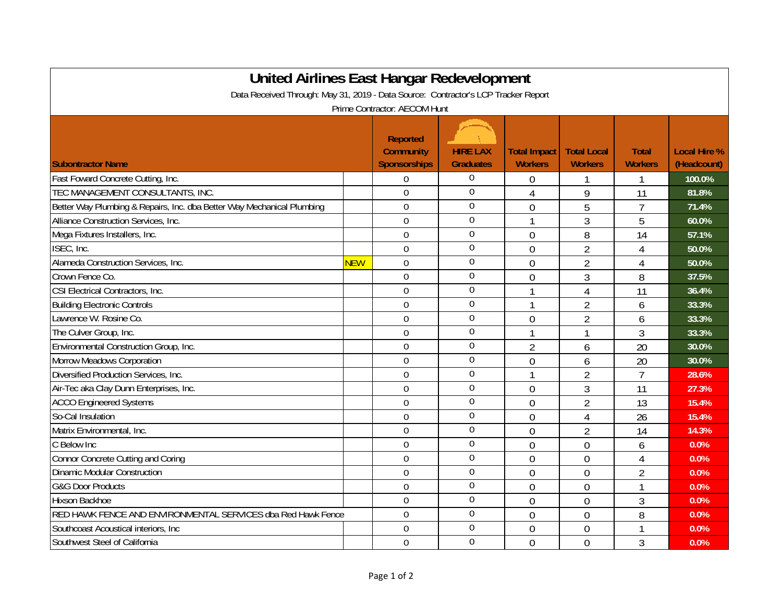| <b>United Airlines East Hangar Redevelopment</b><br>Data Received Through: May 31, 2019 - Data Source: Contractor's LCP Tracker Report |            |                                                            |                                     |                                       |                                      |                                |                                    |  |  |  |  |  |
|----------------------------------------------------------------------------------------------------------------------------------------|------------|------------------------------------------------------------|-------------------------------------|---------------------------------------|--------------------------------------|--------------------------------|------------------------------------|--|--|--|--|--|
| Prime Contractor: AECOM Hunt                                                                                                           |            |                                                            |                                     |                                       |                                      |                                |                                    |  |  |  |  |  |
| <b>Subontractor Name</b>                                                                                                               |            | <b>Reported</b><br><b>Community</b><br><b>Sponsorships</b> | <b>HIRE LAX</b><br><b>Graduates</b> | <b>Total Impact</b><br><b>Workers</b> | <b>Total Local</b><br><b>Workers</b> | <b>Total</b><br><b>Workers</b> | <b>Local Hire %</b><br>(Headcount) |  |  |  |  |  |
| Fast Foward Concrete Cutting, Inc.                                                                                                     |            | 0                                                          | $\overline{0}$                      | 0                                     |                                      | 1                              | 100.0%                             |  |  |  |  |  |
| TEC MANAGEMENT CONSULTANTS, INC.                                                                                                       |            | $\mathbf 0$                                                | $\mathbf 0$                         | 4                                     | 9                                    | 11                             | 81.8%                              |  |  |  |  |  |
| Better Way Plumbing & Repairs, Inc. dba Better Way Mechanical Plumbing                                                                 |            | $\overline{0}$                                             | $\mathbf 0$                         | 0                                     | 5                                    | 7                              | 71.4%                              |  |  |  |  |  |
| Alliance Construction Services, Inc.                                                                                                   |            | $\overline{0}$                                             | $\overline{0}$                      | 1                                     | 3                                    | 5                              | 60.0%                              |  |  |  |  |  |
| Mega Fixtures Installers, Inc.                                                                                                         |            | $\overline{0}$                                             | $\mathbf 0$                         | $\theta$                              | 8                                    | 14                             | 57.1%                              |  |  |  |  |  |
| ISEC, Inc.                                                                                                                             |            | $\overline{0}$                                             | $\overline{0}$                      | $\overline{0}$                        | $\overline{2}$                       | 4                              | 50.0%                              |  |  |  |  |  |
| Alameda Construction Services, Inc.                                                                                                    | <b>NEW</b> | $\overline{0}$                                             | $\overline{0}$                      | $\theta$                              | $\overline{2}$                       | 4                              | 50.0%                              |  |  |  |  |  |
| Crown Fence Co.                                                                                                                        |            | $\overline{0}$                                             | $\mathbf 0$                         | 0                                     | 3                                    | 8                              | 37.5%                              |  |  |  |  |  |
| CSI Electrical Contractors, Inc.                                                                                                       |            | $\mathbf 0$                                                | $\overline{0}$                      | 1                                     | 4                                    | 11                             | 36.4%                              |  |  |  |  |  |
| <b>Building Electronic Controls</b>                                                                                                    |            | $\overline{0}$                                             | $\overline{0}$                      | 1                                     | $\overline{2}$                       | 6                              | 33.3%                              |  |  |  |  |  |
| Lawrence W. Rosine Co.                                                                                                                 |            | $\mathbf 0$                                                | $\overline{0}$                      | 0                                     | $\overline{2}$                       | 6                              | 33.3%                              |  |  |  |  |  |
| The Culver Group, Inc.                                                                                                                 |            | $\mathbf 0$                                                | $\Omega$                            | 1                                     | 1                                    | 3                              | 33.3%                              |  |  |  |  |  |
| Environmental Construction Group, Inc.                                                                                                 |            | $\mathbf 0$                                                | $\Omega$                            | $\overline{2}$                        | 6                                    | 20                             | 30.0%                              |  |  |  |  |  |
| Morrow Meadows Corporation                                                                                                             |            | $\mathbf 0$                                                | $\mathbf 0$                         | $\overline{0}$                        | 6                                    | 20                             | 30.0%                              |  |  |  |  |  |
| Diversified Production Services, Inc.                                                                                                  |            | $\mathbf 0$                                                | $\Omega$                            | 1                                     | $\overline{2}$                       | $\overline{7}$                 | 28.6%                              |  |  |  |  |  |
| Air-Tec aka Clay Dunn Enterprises, Inc.                                                                                                |            | $\mathbf 0$                                                | $\Omega$                            | $\overline{0}$                        | 3                                    | 11                             | 27.3%                              |  |  |  |  |  |
| <b>ACCO Engineered Systems</b>                                                                                                         |            | $\overline{0}$                                             | $\overline{0}$                      | $\overline{0}$                        | $\overline{2}$                       | 13                             | 15.4%                              |  |  |  |  |  |
| So-Cal Insulation                                                                                                                      |            | $\mathbf 0$                                                | $\overline{0}$                      | $\overline{0}$                        | $\overline{4}$                       | 26                             | 15.4%                              |  |  |  |  |  |
| Matrix Environmental, Inc.                                                                                                             |            | $\mathbf 0$                                                | $\boldsymbol{0}$                    | $\overline{0}$                        | $\overline{2}$                       | 14                             | 14.3%                              |  |  |  |  |  |
| C Below Inc                                                                                                                            |            | $\mathbf 0$                                                | $\boldsymbol{0}$                    | $\overline{0}$                        | $\overline{0}$                       | 6                              | 0.0%                               |  |  |  |  |  |
| Connor Concrete Cutting and Coring                                                                                                     |            | $\mathbf 0$                                                | $\mathbf 0$                         | $\overline{0}$                        | $\overline{0}$                       | $\overline{4}$                 | 0.0%                               |  |  |  |  |  |
| <b>Dinamic Modular Construction</b>                                                                                                    |            | $\mathbf 0$                                                | $\overline{0}$                      | $\overline{0}$                        | $\overline{0}$                       | $\overline{2}$                 | 0.0%                               |  |  |  |  |  |
| <b>G&amp;G Door Products</b>                                                                                                           |            | $\overline{0}$                                             | $\mathbf 0$                         | $\overline{0}$                        | $\overline{0}$                       | $\mathbf{1}$                   | 0.0%                               |  |  |  |  |  |
| Hixson Backhoe                                                                                                                         |            | $\mathbf 0$                                                | $\mathbf 0$                         | $\overline{0}$                        | $\overline{0}$                       | 3                              | 0.0%                               |  |  |  |  |  |
| RED HAWK FENCE AND ENVIRONMENTAL SERVICES dba Red Hawk Fence                                                                           |            | $\overline{0}$                                             | $\mathbf 0$                         | $\overline{0}$                        | $\overline{0}$                       | 8                              | 0.0%                               |  |  |  |  |  |
| Southcoast Acoustical interiors, Inc.                                                                                                  |            | $\overline{0}$                                             | $\mathbf 0$                         | $\overline{0}$                        | $\overline{0}$                       |                                | 0.0%                               |  |  |  |  |  |
| Southwest Steel of California                                                                                                          |            | $\overline{0}$                                             | $\overline{0}$                      | $\overline{0}$                        | $\overline{0}$                       | 3                              | 0.0%                               |  |  |  |  |  |